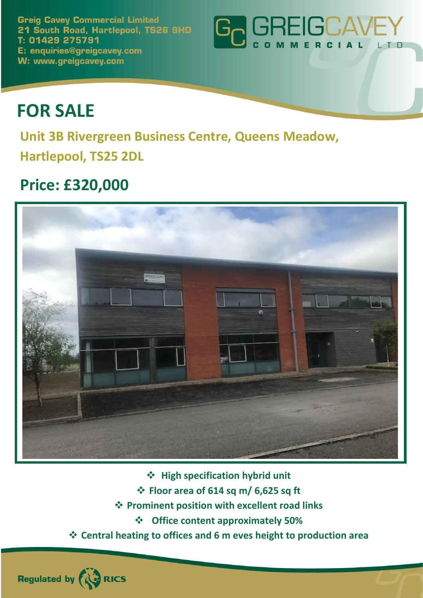**Greig Cavey Commercial Limited** 21 South Road, Hartlepool, TS26 9HD T: 01429 275791 E: enquiries@greigcavey.com W: www.greigcavey.com



# **FOR SALE**

**Unit 3B Rivergreen Business Centre, Queens Meadow, Hartlepool, TS25 2DL**

## **Price: £320,000**

Regulated by **AUD** RICS



❖ **High specification hybrid unit**

- ❖ **Floor area of 614 sq m/ 6,625 sq ft**
- ❖ **Prominent position with excellent road links**
	- ❖ **Office content approximately 50%**
- ❖ **Central heating to offices and 6 m eves height to production area**